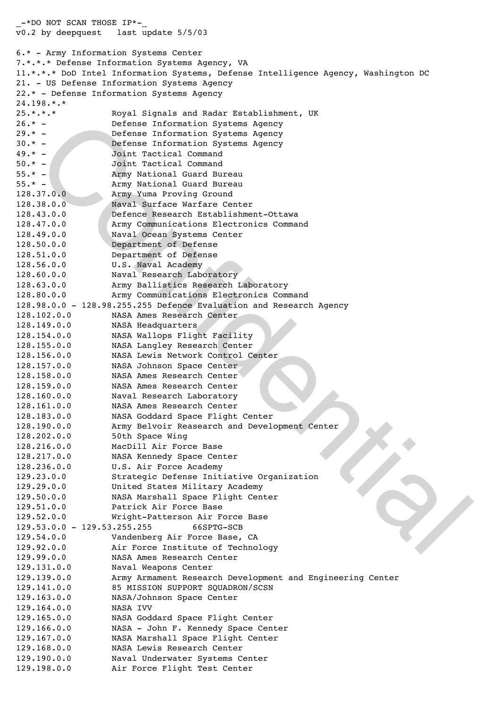-<br>
- poetenus Information Systems Agency<br>
- poetenus Information Systems Agency<br>
both Tecklical Command<br>
- Joant Tecklical Command<br>
- Joant Tecklical Command<br>
- Joant Tecklical Command<br>
- Joanny Matus Provins Ground<br>
- Age  $-$ \*DO NOT SCAN THOSE IP\*v0.2 by deepquest last update 5/5/03 6.\* - Army Information Systems Center 7.\*.\*.\* Defense Information Systems Agency, VA 11.\*.\*.\* DoD Intel Information Systems, Defense Intelligence Agency, Washington DC 21. - US Defense Information Systems Agency 22.\* - Defense Information Systems Agency 24.198.\*.\* 25.\*.\*.\* Royal Signals and Radar Establishment, UK 26.\* - Defense Information Systems Agency 29.\* - Defense Information Systems Agency 30.\* - Defense Information Systems Agency 49.\* - Joint Tactical Command<br>50.\* - Joint Tactical Command Joint Tactical Command 55.\* - Army National Guard Bureau 55.\* - Army National Guard Bureau 128.37.0.0 Army Yuma Proving Ground 128.38.0.0 Naval Surface Warfare Center 128.43.0.0 Defence Research Establishment-Ottawa 128.47.0.0 Army Communications Electronics Command 128.49.0.0 Naval Ocean Systems Center 128.50.0.0 Department of Defense 128.51.0.0 Department of Defense 128.56.0.0 U.S. Naval Academy 128.60.0.0 Naval Research Laboratory 128.63.0.0 Army Ballistics Research Laboratory 128.80.0.0 Army Communications Electronics Command 128.98.0.0 - 128.98.255.255 Defence Evaluation and Research Agency 128.102.0.0 NASA Ames Research Center 128.149.0.0 NASA Headquarters 128.154.0.0 NASA Wallops Flight Facility 128.155.0.0 NASA Langley Research Center 128.156.0.0 NASA Lewis Network Control Center 128.157.0.0 NASA Johnson Space Center 128.158.0.0 NASA Ames Research Center 128.159.0.0 NASA Ames Research Center 128.160.0.0 Naval Research Laboratory 128.161.0.0 NASA Ames Research Center 128.183.0.0 NASA Goddard Space Flight Center 128.190.0.0 Army Belvoir Reasearch and Development Center 128.202.0.0 50th Space Wing 128.216.0.0 MacDill Air Force Base 128.217.0.0 NASA Kennedy Space Center 128.236.0.0 U.S. Air Force Academy 129.23.0.0! ! ! ! Strategic Defense Initiative Organization 129.29.0.0! ! ! ! United States Military Academy 129.50.0.0! ! ! ! NASA Marshall Space Flight Center 129.51.0.0! ! ! ! Patrick Air Force Base 129.52.0.0! !!! Wright-Patterson Air Force Base 129.53.0.0 - 129.53.255.255! ! ! ! 66SPTG-SCB 129.54.0.0! ! ! ! Vandenberg Air Force Base, CA 129.92.0.0! ! ! ! Air Force Institute of Technology 129.99.0.0! ! ! ! NASA Ames Research Center 129.131.0.0! ! ! ! Naval Weapons Center 129.139.0.0! ! ! ! Army Armament Research Development and Engineering Center 129.141.0.0! !!! 85 MISSION SUPPORT SOUADRON/SCSN 129.163.0.0! ! ! ! NASA/Johnson Space Center 129.164.0.0! ! ! ! NASA IVV 129.165.0.0! ! ! ! NASA Goddard Space Flight Center 129.166.0.0! ! ! ! NASA - John F. Kennedy Space Center 129.167.0.0! ! ! ! NASA Marshall Space Flight Center 129.168.0.0! ! ! ! NASA Lewis Research Center 129.190.0.0! ! ! ! Naval Underwater Systems Center 129.198.0.0! ! ! ! Air Force Flight Test Center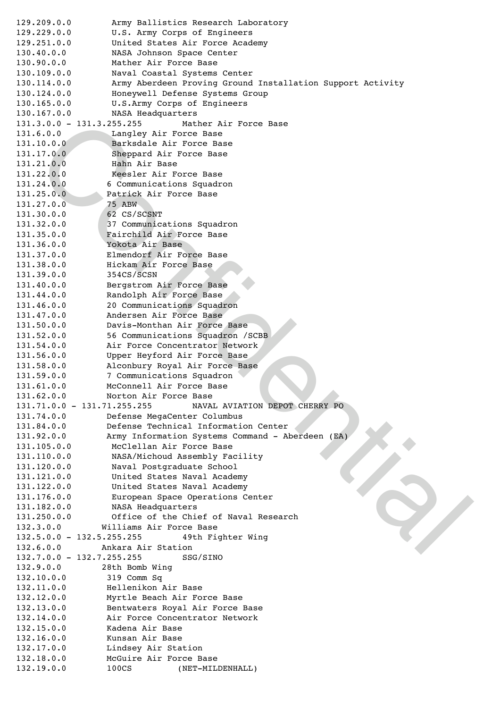3.0.0 = 131, 325) : 1 | Mather Air Porce Base<br>
6.0.0 |  $+1$  | Markalala Air Porce Base<br>
10.0.0 |  $+1$  | Barkalala Air Porce Base<br>
17.0.0 |  $+1$  | Barkala Air Porce Base<br>
17.0.0 |  $+1$  | Barkala Air Porce Base<br>
22.0.0 |  $+$ 129.209.0.0! ! ! ! Army Ballistics Research Laboratory 129.229.0.0! ! ! ! U.S. Army Corps of Engineers 129.251.0.0! ! ! ! United States Air Force Academy 130.40.0.0! ! ! ! NASA Johnson Space Center 130.90.0.0! ! ! ! Mather Air Force Base 130.109.0.0! ! ! ! Naval Coastal Systems Center 130.114.0.0! ! ! ! Army Aberdeen Proving Ground Installation Support Activity 130.124.0.0! ! ! ! Honeywell Defense Systems Group 130.165.0.0! ! ! ! U.S.Army Corps of Engineers 130.167.0.0! ! ! ! NASA Headquarters 131.3.0.0 - 131.3.255.255! ! ! ! Mather Air Force Base 131.6.0.0! !! Langley Air Force Base 131.10.0.0! !! Barksdale Air Force Base 131.17.0.0! ! ! ! Sheppard Air Force Base 131.21.0.0! ! ! ! Hahn Air Base 131.22.0.0! ! ! ! Keesler Air Force Base 131.24.0.0! ! ! ! 6 Communications Squadron 131.25.0.0! ! ! ! Patrick Air Force Base 131.27.0.0! <u>| 75 ABW</u> 131.30.0.0! ! ! ! 62 CS/SCSNT 131.32.0.0! ! ! ! 37 Communications Squadron 131.35.0.0! ! ! ! Fairchild Air Force Base 131.36.0.0! ! ! ! Yokota Air Base 131.37.0.0! ! ! ! Elmendorf Air Force Base 131.38.0.0! ! ! ! Hickam Air Force Base 131.39.0.0! !!! 354CS/SCSN 131.40.0.0! ! ! ! Bergstrom Air Force Base 131.44.0.0! ! ! ! Randolph Air Force Base 131.46.0.0! ! ! ! 20 Communications Squadron 131.47.0.0! ! ! ! Andersen Air Force Base 131.50.0.0! ! ! ! Davis-Monthan Air Force Base 131.52.0.0! ! ! ! 56 Communications Squadron /SCBB 131.54.0.0! ! ! ! Air Force Concentrator Network 131.56.0.0! ! ! ! Upper Heyford Air Force Base 131.58.0.0! !!! Alconbury Royal Air Force Base 131.59.0.0! ! ! ! 7 Communications Squadron 131.61.0.0! ! ! ! McConnell Air Force Base 131.62.0.0! ! ! ! Norton Air Force Base 131.71.0.0 - 131.71.255.255! ! ! ! NAVAL AVIATION DEPOT CHERRY PO 131.74.0.0! ! ! ! Defense MegaCenter Columbus 131.84.0.0! ! ! ! Defense Technical Information Center 131.92.0.0! ! ! ! Army Information Systems Command - Aberdeen (EA) 131.105.0.0! ! ! ! McClellan Air Force Base 131.110.0.0! ! ! ! NASA/Michoud Assembly Facility 131.120.0.0! ! ! ! Naval Postgraduate School 131.121.0.0! ! ! ! United States Naval Academy 131.122.0.0! ! ! ! United States Naval Academy 131.176.0.0! ! ! ! European Space Operations Center 131.182.0.0! ! ! ! NASA Headquarters 131.250.0.0! ! ! ! Office of the Chief of Naval Research 132.3.0.0! ! ! ! Williams Air Force Base 132.5.0.0 - 132.5.255.255! ! ! ! 49th Fighter Wing 132.6.0.0! ! ! ! Ankara Air Station 132.7.0.0 - 132.7.255.255! ! ! ! SSG/SINO 132.9.0.0! ! ! ! 28th Bomb Wing 132.10.0.0!!!!! 319 Comm Sq 132.11.0.0! ! ! ! Hellenikon Air Base 132.12.0.0! ! ! ! Myrtle Beach Air Force Base 132.13.0.0! ! ! ! Bentwaters Royal Air Force Base 132.14.0.0! !!! Air Force Concentrator Network 132.15.0.0! ! ! ! Kadena Air Base 132.16.0.0! ! ! ! Kunsan Air Base 132.17.0.0! ! ! ! Lindsey Air Station 132.18.0.0! ! ! ! McGuire Air Force Base 132.19.0.0! ! ! ! 100CS ! ! ! ! (NET-MILDENHALL)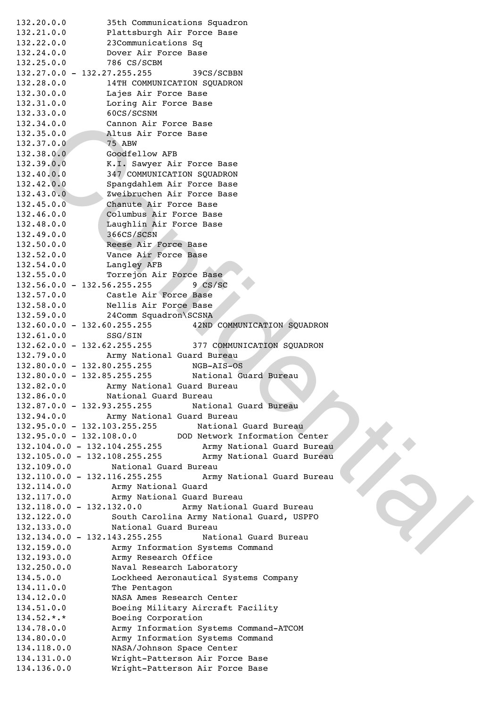Confidential 132.20.0.0! ! ! ! 35th Communications Squadron 132.21.0.0! ! ! ! Plattsburgh Air Force Base 132.22.0.0! ! ! ! 23Communications Sq 132.24.0.0! ! ! ! Dover Air Force Base 132.25.0.0! ! ! 786 CS/SCBM 132.27.0.0 - 132.27.255.255! ! ! ! 39CS/SCBBN 132.28.0.0! ! ! ! 14TH COMMUNICATION SQUADRON 132.30.0.0! ! ! ! Lajes Air Force Base 132.31.0.0! ! ! ! Loring Air Force Base 132.33.0.0! ! ! ! 60CS/SCSNM 132.34.0.0! ! ! ! Cannon Air Force Base 132.35.0.0! | | | Altus Air Force Base 132.37.0.0! ! ! 75 ABW 132.38.0.0! ! ! ! Goodfellow AFB 132.39.0.0! ! ! ! K.I. Sawyer Air Force Base 132.40.0.0! ! ! ! 347 COMMUNICATION SQUADRON 132.42.0.0! ! ! ! Spangdahlem Air Force Base 132.43.0.0! ! ! ! Zweibruchen Air Force Base 132.45.0.0! ! ! ! Chanute Air Force Base 132.46.0.0! ! ! ! Columbus Air Force Base 132.48.0.0! ! ! ! Laughlin Air Force Base 132.49.0.0! !!! 366CS/SCSN 132.50.0.0! ! ! ! Reese Air Force Base 132.52.0.0! ! ! ! Vance Air Force Base 132.54.0.0! ! ! ! Langley AFB 132.55.0.0! ! ! ! Torrejon Air Force Base 132.56.0.0 - 132.56.255.255! ! ! ! 9 CS/SC 132.57.0.0! ! ! ! Castle Air Force Base 132.58.0.0! ! ! ! Nellis Air Force Base 132.59.0.0! ! ! ! 24Comm Squadron\SCSNA 132.60.0.0 - 132.60.255.255! ! ! ! 42ND COMMUNICATION SQUADRON 132.61.0.0! !!! SSG/SIN 132.62.0.0 - 132.62.255.255! ! ! ! 377 COMMUNICATION SQUADRON 132.79.0.0! ! ! ! Army National Guard Bureau 132.80.0.0 - 132.80.255.255! ! ! ! NGB-AIS-OS 132.80.0.0 - 132.85.255.255! ! ! ! National Guard Bureau 132.82.0.0! ! ! ! Army National Guard Bureau 132.86.0.0! ! ! ! National Guard Bureau 132.87.0.0 - 132.93.255.255! ! ! ! National Guard Bureau 132.94.0.0! ! ! ! Army National Guard Bureau 132.95.0.0 - 132.103.255.255! ! ! ! National Guard Bureau 132.95.0.0 - 132.108.0.0! ! ! ! DOD Network Information Center 132.104.0.0 - 132.104.255.255! ! ! ! Army National Guard Bureau 132.105.0.0 - 132.108.255.255! ! ! ! Army National Guard Bureau 132.109.0.0! ! ! ! National Guard Bureau 132.110.0.0 - 132.116.255.255! ! ! ! Army National Guard Bureau 132.114.0.0! ! ! ! Army National Guard 132.117.0.0! ! ! ! Army National Guard Bureau 132.118.0.0 - 132.132.0.0! ! ! ! Army National Guard Bureau 132.122.0.0! ! ! ! South Carolina Army National Guard, USPFO 132.133.0.0! ! ! ! National Guard Bureau 132.134.0.0 - 132.143.255.255! ! ! ! National Guard Bureau 132.159.0.0! ! ! ! Army Information Systems Command 132.193.0.0! ! ! ! Army Research Office 132.250.0.0! ! ! ! Naval Research Laboratory 134.5.0.0 Lockheed Aeronautical Systems Company 134.11.0.0!!!! The Pentagon 134.12.0.0! ! ! ! NASA Ames Research Center 134.51.0.0 ! ! ! ! Boeing Military Aircraft Facility 134.52.\*.\*! ! ! ! Boeing Corporation 134.78.0.0! ! ! ! Army Information Systems Command-ATCOM 134.80.0.0! !!! Army Information Systems Command 134.118.0.0! ! ! ! NASA/Johnson Space Center 134.131.0.0! ! ! ! Wright-Patterson Air Force Base 134.136.0.0! ! ! ! Wright-Patterson Air Force Base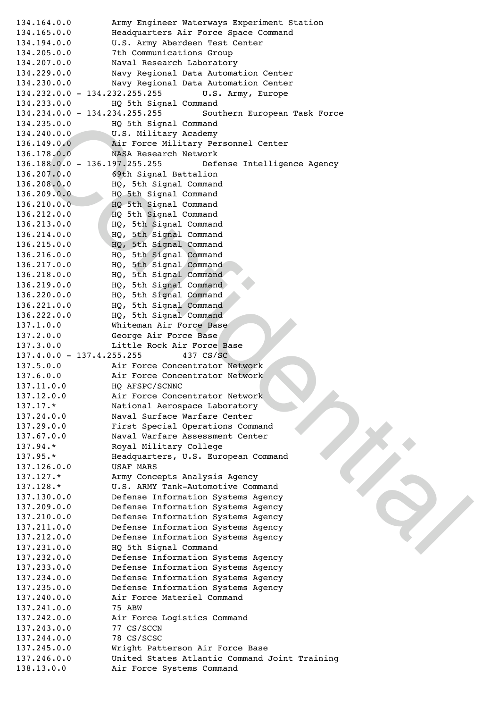Confidential 134.164.0.0! ! ! ! Army Engineer Waterways Experiment Station 134.165.0.0! ! ! ! Headquarters Air Force Space Command 134.194.0.0! ! ! ! U.S. Army Aberdeen Test Center 134.205.0.0! ! ! ! 7th Communications Group 134.207.0.0! ! ! ! Naval Research Laboratory 134.229.0.0! ! ! ! Navy Regional Data Automation Center 134.230.0.0! ! ! ! Navy Regional Data Automation Center 134.232.0.0 - 134.232.255.255! ! ! ! U.S. Army, Europe 134.233.0.0! ! ! ! HQ 5th Signal Command 134.234.0.0 - 134.234.255.255! ! ! ! Southern European Task Force 134.235.0.0! ! ! ! HQ 5th Signal Command 134.240.0.0! ! ! ! U.S. Military Academy 136.149.0.0! ! ! ! Air Force Military Personnel Center 136.178.0.0! ! ! ! NASA Research Network 136.188.0.0 - 136.197.255.255! ! ! ! Defense Intelligence Agency 136.207.0.0! ! ! ! 69th Signal Battalion 136.208.0.0! ! ! ! HQ, 5th Signal Command 136.209.0.0 | | | | HQ 5th Signal Command 136.210.0.0! ! ! ! HQ 5th Signal Command 136.212.0.0! ! ! ! HQ 5th Signal Command 136.213.0.0! ! ! ! HQ, 5th Signal Command 136.214.0.0! ! ! ! HQ, 5th Signal Command 136.215.0.0! ! ! ! HQ, 5th Signal Command 136.216.0.0! ! ! ! HQ, 5th Signal Command 136.217.0.0! ! ! ! HQ, 5th Signal Command 136.218.0.0! ! ! ! HQ, 5th Signal Command 136.219.0.0! ! ! ! HQ, 5th Signal Command 136.220.0.0! ! ! ! HQ, 5th Signal Command 136.221.0.0! ! ! ! HQ, 5th Signal Command 136.222.0.0! !!! HQ, 5th Signal Command<br>137.1.0.0!!!! Whiteman Air Force Base Whiteman Air Force Base 137.2.0.0! ! ! ! George Air Force Base 137.3.0.0! ! ! ! Little Rock Air Force Base 137.4.0.0 - 137.4.255.255! ! ! ! 437 CS/SC 137.5.0.0! ! ! ! Air Force Concentrator Network 137.6.0.0! !!! Air Force Concentrator Network 137.11.0.0! ! ! ! HQ AFSPC/SCNNC 137.12.0.0! ! ! ! Air Force Concentrator Network 137.17.\* National Aerospace Laboratory 137.24.0.0! ! ! ! Naval Surface Warfare Center 137.29.0.0! !!! First Special Operations Command 137.67.0.0! !!! Naval Warfare Assessment Center 137.94.\* Royal Military College 137.95.\* Headquarters, U.S. European Command 137.126.0.0! !!! USAF MARS 137.127.\* Army Concepts Analysis Agency 137.128.\* U.S. ARMY Tank-Automotive Command 137.130.0.0! ! ! ! Defense Information Systems Agency 137.209.0.0! ! ! ! Defense Information Systems Agency 137.210.0.0! ! ! ! Defense Information Systems Agency 137.211.0.0! ! ! ! Defense Information Systems Agency 137.212.0.0! ! ! ! Defense Information Systems Agency 137.231.0.0! ! ! ! HQ 5th Signal Command 137.232.0.0! ! ! ! Defense Information Systems Agency 137.233.0.0! ! ! ! Defense Information Systems Agency 137.234.0.0! ! ! ! Defense Information Systems Agency 137.235.0.0! ! ! ! Defense Information Systems Agency 137.240.0.0! ! ! ! Air Force Materiel Command 137.241.0.0! !!! 75 ABW 137.242.0.0! ! ! ! Air Force Logistics Command 137.243.0.0! ! ! ! 77 CS/SCCN 137.244.0.0! ! ! ! 78 CS/SCSC 137.245.0.0! ! ! ! Wright Patterson Air Force Base 137.246.0.0! ! ! ! United States Atlantic Command Joint Training 138.13.0.0! ! ! ! Air Force Systems Command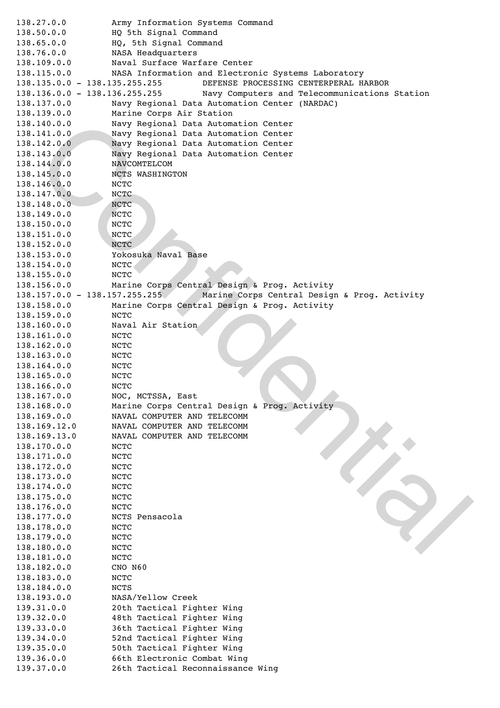Confidential 138.27.0.0! !!! Army Information Systems Command 138.50.0.0! ! ! ! HQ 5th Signal Command 138.65.0.0! ! ! ! HQ, 5th Signal Command 138.76.0.0! ! ! ! NASA Headquarters 138.109.0.0! ! ! ! Naval Surface Warfare Center 138.115.0.0! ! ! ! NASA Information and Electronic Systems Laboratory 138.135.0.0 - 138.135.255.255! ! ! ! DEFENSE PROCESSING CENTERPERAL HARBOR 138.136.0.0 - 138.136.255.255! ! ! ! Navy Computers and Telecommunications Station 138.137.0.0! ! ! ! Navy Regional Data Automation Center (NARDAC) 138.139.0.0! ! ! ! Marine Corps Air Station 138.140.0.0! ! ! ! Navy Regional Data Automation Center 138.141.0.0! ! ! ! Navy Regional Data Automation Center 138.142.0.0! ! ! ! Navy Regional Data Automation Center 138.143.0.0! ! ! ! Navy Regional Data Automation Center 138.144.0.0! ! ! ! NAVCOMTELCOM 138.145.0.0! ! ! ! NCTS WASHINGTON 138.146.0.0! ! ! ! NCTC 138.147.0.0! !!! NCTC 138.148.0.0! !!! NCTC 138.149.0.0! !!! NCTC 138.150.0.0! ! ! ! NCTC 138.151.0.0! ! ! NCTC 138.152.0.0! ! ! ! NCTC 138.153.0.0! ! ! ! Yokosuka Naval Base 138.154.0.0! !!! NCTC 138.155.0.0! ! ! ! NCTC 138.156.0.0! ! ! ! Marine Corps Central Design & Prog. Activity 138.157.0.0 - 138.157.255.255! ! ! ! Marine Corps Central Design & Prog. Activity 138.158.0.0! ! ! ! Marine Corps Central Design & Prog. Activity 138.159.0.0! ! ! ! NCTC 138.160.0.0! ! ! ! Naval Air Station 138.161.0.0! ! ! ! NCTC 138.162.0.0! ! ! ! NCTC 138.163.0.0! ! ! ! NCTC 138.164.0.0! ! ! ! NCTC 138.165.0.0! ! ! ! NCTC 138.166.0.0! !!! NCTC 138.167.0.0! ! ! ! NOC, MCTSSA, East 138.168.0.0! ! ! ! Marine Corps Central Design & Prog. Activity 138.169.0.0! ! ! ! NAVAL COMPUTER AND TELECOMM 138.169.12.0! ! ! !NAVAL COMPUTER AND TELECOMM 138.169.13.0! ! ! !NAVAL COMPUTER AND TELECOMM 138.170.0.0! ! ! ! NCTC 138.171.0.0! ! ! ! NCTC 138.172.0.0! !!! NCTC 138.173.0.0! ! ! ! NCTC 138.174.0.0! ! ! ! NCTC 138.175.0.0! ! ! ! NCTC 138.176.0.0! ! ! ! NCTC 138.177.0.0! ! ! ! NCTS Pensacola 138.178.0.0! ! ! ! NCTC 138.179.0.0! !!! NCTC 138.180.0.0! ! ! ! NCTC 138.181.0.0! !!! NCTC 138.182.0.0! !!! CNO N60 138.183.0.0! ! ! ! NCTC 138.184.0.0!!!!! NCTS 138.193.0.0! ! ! ! NASA/Yellow Creek 139.31.0.0! ! ! ! 20th Tactical Fighter Wing 139.32.0.0! ! ! ! 48th Tactical Fighter Wing 139.33.0.0! ! ! ! 36th Tactical Fighter Wing 139.34.0.0! ! ! ! 52nd Tactical Fighter Wing 139.35.0.0! ! ! ! 50th Tactical Fighter Wing 139.36.0.0! ! ! ! 66th Electronic Combat Wing 139.37.0.0! ! ! ! 26th Tactical Reconnaissance Wing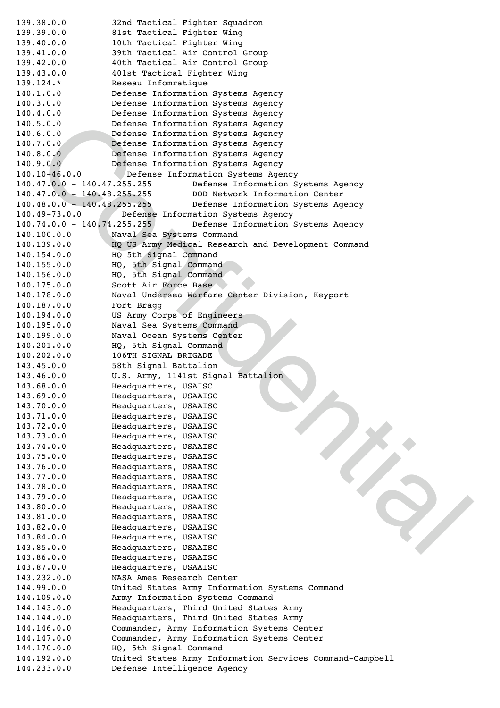5.0.01 | | | Defense Information Systems Apenoy<br>
7.0.01 | | | | Defense Information Systems Apenoy<br>
7.0.01 | | | Defense Information Systems Apenoy<br>
7.0.01 | | | Defense Information Systems Apenoy<br>
7.0.01 | | | Defense In 139.38.0.0! ! ! ! 32nd Tactical Fighter Squadron 139.39.0.0! ! ! ! 81st Tactical Fighter Wing 139.40.0.0! ! ! ! 10th Tactical Fighter Wing 139.41.0.0! !!! 39th Tactical Air Control Group 139.42.0.0! ! ! ! 40th Tactical Air Control Group 139.43.0.0! ! ! ! 401st Tactical Fighter Wing 139.124.\* Reseau Infomratique ! ! ! ! 140.1.0.0! ! ! ! Defense Information Systems Agency 140.3.0.0! ! ! ! Defense Information Systems Agency 140.4.0.0! ! ! ! Defense Information Systems Agency 140.5.0.0! ! ! ! Defense Information Systems Agency 140.6.0.0! ! ! ! Defense Information Systems Agency 140.7.0.0! ! ! ! Defense Information Systems Agency 140.8.0.0! !!! Defense Information Systems Agency<br>140.9.0.0!!!! Defense Information Systems Agency Defense Information Systems Agency 140.10-46.0.0! ! ! ! Defense Information Systems Agency 140.47.0.0 - 140.47.255.255! ! ! ! Defense Information Systems Agency 140.47.0.0 - 140.48.255.255! ! ! ! DOD Network Information Center 140.48.0.0 - 140.48.255.255! ! ! ! Defense Information Systems Agency 140.49-73.0.0! ! ! ! Defense Information Systems Agency 140.74.0.0 - 140.74.255.255! ! ! ! Defense Information Systems Agency 140.100.0.0! ! ! ! Naval Sea Systems Command 140.139.0.0! ! ! ! HQ US Army Medical Research and Development Command 140.154.0.0! ! ! ! HQ 5th Signal Command 140.155.0.0! ! ! ! HQ, 5th Signal Command 140.156.0.0! ! ! ! HQ, 5th Signal Command 140.175.0.0! ! ! ! Scott Air Force Base 140.178.0.0! ! ! ! Naval Undersea Warfare Center Division, Keyport 140.187.0.0! ! ! ! Fort Bragg 140.194.0.0! ! ! ! US Army Corps of Engineers 140.195.0.0! ! ! ! Naval Sea Systems Command 140.199.0.0! ! ! ! Naval Ocean Systems Center 140.201.0.0! ! ! ! HQ, 5th Signal Command 140.202.0.0! ! ! ! 106TH SIGNAL BRIGADE 143.45.0.0! ! ! ! 58th Signal Battalion 143.46.0.0! ! ! ! U.S. Army, 1141st Signal Battalion 143.68.0.0! ! ! ! Headquarters, USAISC 143.69.0.0! ! ! ! Headquarters, USAAISC 143.70.0.0! ! ! Headquarters, USAAISC 143.71.0.0! ! ! ! Headquarters, USAAISC 143.72.0.0! ! ! ! Headquarters, USAAISC 143.73.0.0! ! ! ! Headquarters, USAAISC 143.74.0.0!!!! Headquarters, USAAISC<br>143.75.0.0!!!! Headquarters, USAAISC 143.75.0.0!!!!! Headquarters, USAAISC<br>143.76.0.0!!!! Headquarters, USAAISC Headquarters, USAAISC 143.77.0.0!!!! Headquarters, USAAISC<br>143.78.0.0!!!! Headquarters, USAAISC 143.78.0.0!!!! Headquarters, USAAISC<br>143.79.0.0!!!! Headquarters, USAAISC Headquarters, USAAISC 143.80.0.0! ! ! ! Headquarters, USAAISC 143.81.0.0! ! ! ! Headquarters, USAAISC 143.82.0.0! ! ! ! Headquarters, USAAISC 143.84.0.0! ! ! ! Headquarters, USAAISC 143.85.0.0! ! ! ! Headquarters, USAAISC 143.86.0.0! ! ! ! Headquarters, USAAISC 143.87.0.0! ! ! ! Headquarters, USAAISC 143.232.0.0! ! ! ! NASA Ames Research Center 144.99.0.0! ! ! ! United States Army Information Systems Command 144.109.0.0! ! ! ! Army Information Systems Command 144.143.0.0! ! ! ! Headquarters, Third United States Army 144.144.0.0! ! ! ! Headquarters, Third United States Army 144.146.0.0! ! ! ! Commander, Army Information Systems Center 144.147.0.0! ! ! ! Commander, Army Information Systems Center 144.170.0.0! ! ! ! HQ, 5th Signal Command 144.192.0.0! ! ! ! United States Army Information Services Command-Campbell 144.233.0.0! ! ! ! Defense Intelligence Agency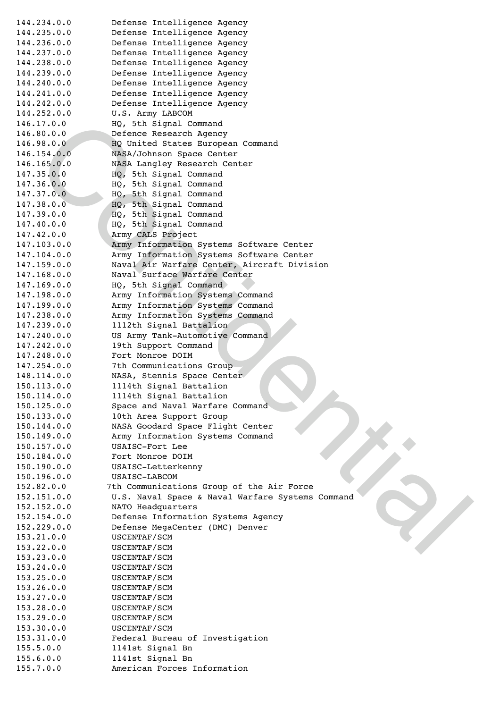Confidential 144.234.0.0! ! ! ! Defense Intelligence Agency 144.235.0.0! ! ! ! Defense Intelligence Agency 144.236.0.0! ! ! ! Defense Intelligence Agency 144.237.0.0! ! ! ! Defense Intelligence Agency 144.238.0.0! ! ! ! Defense Intelligence Agency 144.239.0.0! ! ! ! Defense Intelligence Agency 144.240.0.0! ! ! ! Defense Intelligence Agency 144.241.0.0! ! ! ! Defense Intelligence Agency 144.242.0.0! ! ! ! Defense Intelligence Agency 144.252.0.0! ! ! ! U.S. Army LABCOM 146.17.0.0! ! ! ! HQ, 5th Signal Command 146.80.0.0 !!! Defence Research Agency 146.98.0.0! ! ! HQ United States European Command 146.154.0.0! ! ! ! NASA/Johnson Space Center 146.165.0.0! ! ! ! NASA Langley Research Center 147.35.0.0! ! ! ! HQ, 5th Signal Command 147.36.0.0! !!! HQ, 5th Signal Command 147.37.0.0! ! ! ! HQ, 5th Signal Command 147.38.0.0! ! ! ! HQ, 5th Signal Command 147.39.0.0! ! ! ! HQ, 5th Signal Command 147.40.0.0! !!! HQ, 5th Signal Command 147.42.0.0! ! ! ! Army CALS Project 147.103.0.0! ! ! ! Army Information Systems Software Center 147.104.0.0! ! ! ! Army Information Systems Software Center 147.159.0.0! ! ! ! Naval Air Warfare Center, Aircraft Division 147.168.0.0! ! ! ! Naval Surface Warfare Center 147.169.0.0! !!! HQ, 5th Signal Command) 147.198.0.0! ! ! ! Army Information Systems Command 147.199.0.0! ! ! ! Army Information Systems Command 147.238.0.0! ! ! ! Army Information Systems Command 147.239.0.0! ! ! ! 1112th Signal Battalion 147.240.0.0! ! ! ! US Army Tank-Automotive Command 147.242.0.0! ! ! ! 19th Support Command 147.248.0.0! ! ! ! Fort Monroe DOIM 147.254.0.0! !!! 7th Communications Group 148.114.0.0! ! ! ! NASA, Stennis Space Center 150.113.0.0! ! ! ! 1114th Signal Battalion 150.114.0.0! ! ! ! 1114th Signal Battalion 150.125.0.0! ! ! ! Space and Naval Warfare Command 150.133.0.0! ! ! ! 10th Area Support Group 150.144.0.0! ! ! ! NASA Goodard Space Flight Center 150.149.0.0! ! ! ! Army Information Systems Command 150.157.0.0! ! ! ! USAISC-Fort Lee 150.184.0.0! ! ! ! Fort Monroe DOIM 150.190.0.0! ! ! ! USAISC-Letterkenny 150.196.0.0! ! ! ! USAISC-LABCOM 152.82.0.0! ! ! ! 7th Communications Group of the Air Force 152.151.0.0! ! ! ! U.S. Naval Space & Naval Warfare Systems Command 152.152.0.0! ! ! ! NATO Headquarters 152.154.0.0! ! ! ! Defense Information Systems Agency 152.229.0.0! ! ! ! Defense MegaCenter (DMC) Denver 153.21.0.0! ! ! ! USCENTAF/SCM 153.22.0.0! ! ! ! USCENTAF/SCM 153.23.0.0! ! ! ! USCENTAF/SCM 153.24.0.0! ! ! ! USCENTAF/SCM 153.25.0.0! ! ! ! USCENTAF/SCM 153.26.0.0! ! ! ! USCENTAF/SCM 153.27.0.0! ! ! ! USCENTAF/SCM 153.28.0.0! ! ! ! USCENTAF/SCM 153.29.0.0! ! ! ! USCENTAF/SCM 153.30.0.0! ! ! ! USCENTAF/SCM 153.31.0.0! ! ! ! Federal Bureau of Investigation 155.5.0.0! ! ! ! 1141st Signal Bn 155.6.0.0! ! ! ! 1141st Signal Bn 155.7.0.0! ! ! ! American Forces Information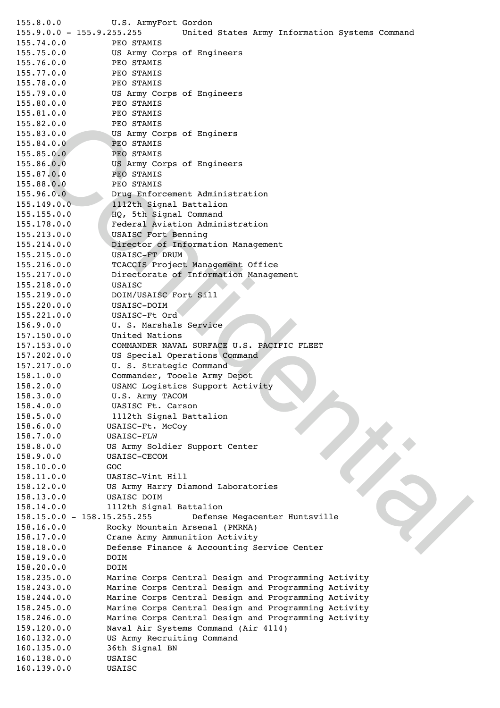23.0.01111 PED SPANIS<br>
23.0.01111 PED SPANIS<br>
23.0.01111 PED SPANIS<br>
25.0.01111 PED SPANIS<br>
25.0.011111 PED SPANIS<br>
25.0.011111 PED SPANIS<br>
26.0.01111 PED SPANIS<br>
26.0.01111 PED SPANIS<br>
26.0.01111 PED SPANIS<br>
27.0.01111 PE 155.8.0.0! ! ! ! U.S. ArmyFort Gordon 155.9.0.0 - 155.9.255.255! ! ! ! United States Army Information Systems Command 155.74.0.0 ! ! ! ! PEO STAMIS 155.75.0.0! ! ! ! US Army Corps of Engineers 155.76.0.0 ! ! ! ! PEO STAMIS 155.77.0.0 ! ! ! ! PEO STAMIS 155.78.0.0 ! ! ! ! PEO STAMIS 155.79.0.0! ! ! ! US Army Corps of Engineers 155.80.0.0 ! ! ! ! PEO STAMIS 155.81.0.0 ! ! ! ! PEO STAMIS 155.82.0.0 ! ! ! ! PEO STAMIS 155.83.0.0! !!! US Army Corps of Enginers 155.84.0.0 ! ! ! ! PEO STAMIS 155.85.0.0 ! ! ! ! PEO STAMIS 155.86.0.0! ! ! ! US Army Corps of Engineers 155.87.0.0 ! ! ! ! PEO STAMIS 155.88.0.0 ! ! ! ! PEO STAMIS 155.96.0.0! ! ! ! Drug Enforcement Administration 155.149.0.0! ! ! ! 1112th Signal Battalion 155.155.0.0! ! ! ! HQ, 5th Signal Command 155.178.0.0 ! ! ! !Federal Aviation Administration 155.213.0.0! ! ! ! USAISC Fort Benning 155.214.0.0 ! ! ! !Director of Information Management 155.215.0.0! ! ! ! USAISC-FT DRUM 155.216.0.0! ! ! ! TCACCIS Project Management Office 155.217.0.0 ! ! ! !Directorate of Information Management 155.218.0.0! ! ! ! USAISC 155.219.0.0! ! ! ! DOIM/USAISC Fort Sill 155.220.0.0! ! ! ! USAISC-DOIM 155.221.0.0! ! ! ! USAISC-Ft Ord 156.9.0.0! ! ! ! U. S. Marshals Service 157.150.0.0! ! ! ! United Nations 157.153.0.0! ! ! ! COMMANDER NAVAL SURFACE U.S. PACIFIC FLEET 157.202.0.0! ! ! ! US Special Operations Command 157.217.0.0! ! ! ! U. S. Strategic Command 158.1.0.0! !!! Commander, Tooele Army Depot<br>158.2.0.0!!!! USAMC Logistics Support Acti 158.2.0.0!!!! USAMC Logistics Support Activity<br>158.3.0.0!!!! U.S. Army TACOM U.S. Army TACOM 158.4.0.0! ! ! ! UASISC Ft. Carson 158.5.0.0! ! ! ! 1112th Signal Battalion 158.6.0.0! ! ! ! USAISC-Ft. McCoy 158.7.0.0! ! ! ! USAISC-FLW 158.8.0.0! ! ! ! US Army Soldier Support Center 158.9.0.0! ! ! ! USAISC-CECOM 158.10.0.0! ! ! ! GOC 158.11.0.0! ! ! ! UASISC-Vint Hill 158.12.0.0! ! ! ! US Army Harry Diamond Laboratories 158.13.0.0! ! ! ! USAISC DOIM 158.14.0.0! ! ! ! 1112th Signal Battalion 158.15.0.0 - 158.15.255.255! ! ! ! Defense Megacenter Huntsville 158.16.0.0! ! ! ! Rocky Mountain Arsenal (PMRMA) 158.17.0.0! ! ! ! Crane Army Ammunition Activity 158.18.0.0! ! ! ! Defense Finance & Accounting Service Center 158.19.0.0! ! ! ! DOIM 158.20.0.0! ! ! ! DOIM 158.235.0.0! ! ! !Marine Corps Central Design and Programming Activity 158.243.0.0! ! ! !Marine Corps Central Design and Programming Activity 158.244.0.0! ! ! !Marine Corps Central Design and Programming Activity 158.245.0.0! ! ! !Marine Corps Central Design and Programming Activity 158.246.0.0! ! ! !Marine Corps Central Design and Programming Activity 159.120.0.0! ! ! !Naval Air Systems Command (Air 4114) 160.132.0.0! ! ! !US Army Recruiting Command 160.135.0.0! ! ! !36th Signal BN 160.138.0.0! ! ! !USAISC 160.139.0.0! ! ! !USAISC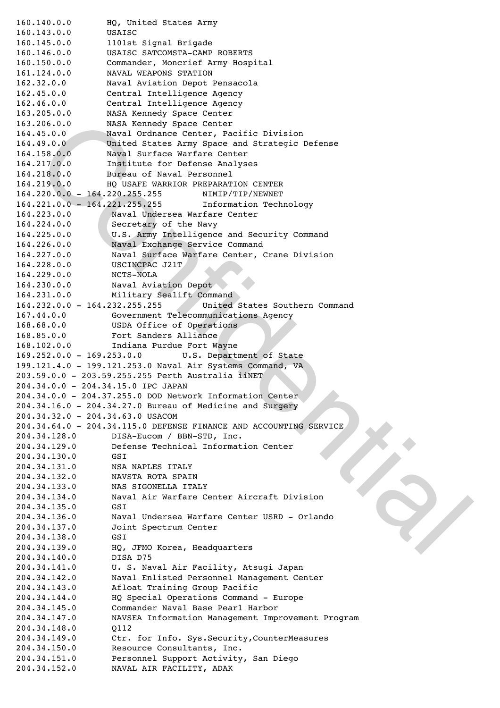26.0.0!!!!RAEX Removed phase Remove Center<br>45.0.0!!!!RAEX A confidence Center, Positic Division<br>45.0.0!!!!!Waval division Arry Space and Strategic Defense<br>126.0 1/1 United States Arry Space and Strategic Defense<br>126.0.0!!! 160.140.0.0! ! ! !HQ, United States Army 160.143.0.0! ! ! !USAISC 160.145.0.0! ! ! !1101st Signal Brigade 160.146.0.0! ! ! !USAISC SATCOMSTA-CAMP ROBERTS 160.150.0.0! ! ! !Commander, Moncrief Army Hospital 161.124.0.0! ! ! !NAVAL WEAPONS STATION 162.32.0.0! ! ! ! Naval Aviation Depot Pensacola 162.45.0.0! ! ! ! Central Intelligence Agency 162.46.0.0! ! ! ! Central Intelligence Agency 163.205.0.0! ! ! !NASA Kennedy Space Center 163.206.0.0! ! ! !NASA Kennedy Space Center 164.45.0.0! ! ! ! Naval Ordnance Center, Pacific Division 164.49.0.0! ! ! ! United States Army Space and Strategic Defense 164.158.0.0! ! ! !Naval Surface Warfare Center 164.217.0.0! ! ! !Institute for Defense Analyses 164.218.0.0! ! ! !Bureau of Naval Personnel 164.219.0.0! ! ! !HQ USAFE WARRIOR PREPARATION CENTER 164.220.0.0 - 164.220.255.255! ! ! ! NIMIP/TIP/NEWNET 164.221.0.0 - 164.221.255.255! ! ! ! Information Technology 164.223.0.0! ! ! ! Naval Undersea Warfare Center 164.224.0.0! ! ! ! Secretary of the Navy 164.225.0.0! ! ! ! U.S. Army Intelligence and Security Command 164.226.0.0! ! ! ! Naval Exchange Service Command 164.227.0.0! ! ! ! Naval Surface Warfare Center, Crane Division 164.228.0.0! ! ! ! USCINCPAC J21T 164.229.0.0! ! ! ! NCTS-NOLA 164.230.0.0! ! ! ! Naval Aviation Depot 164.231.0.0!!!! Military Sealift Command 164.232.0.0 - 164.232.255.255! ! ! ! United States Southern Command 167.44.0.0! ! ! ! Government Telecommunications Agency 168.68.0.0! ! ! ! USDA Office of Operations 168.85.0.0! ! ! ! Fort Sanders Alliance 168.102.0.0! ! ! ! Indiana Purdue Fort Wayne 169.252.0.0 - 169.253.0.0! ! ! ! U.S. Department of State 199.121.4.0 - 199.121.253.0 Naval Air Systems Command, VA 203.59.0.0 - 203.59.255.255 Perth Australia iiNET 204.34.0.0 - 204.34.15.0 IPC JAPAN 204.34.0.0 - 204.37.255.0 DOD Network Information Center 204.34.16.0 - 204.34.27.0 Bureau of Medicine and Surgery 204.34.32.0 - 204.34.63.0 USACOM 204.34.64.0 - 204.34.115.0 DEFENSE FINANCE AND ACCOUNTING SERVICE 204.34.128.0 DISA-Eucom / BBN-STD, Inc. 204.34.129.0 Defense Technical Information Center 204.34.130.0 GSI 204.34.131.0 NSA NAPLES ITALY 204.34.132.0 NAVSTA ROTA SPAIN 204.34.133.0 NAS SIGONELLA ITALY 204.34.134.0 Naval Air Warfare Center Aircraft Division 204.34.135.0 GSI 204.34.136.0 Naval Undersea Warfare Center USRD - Orlando 204.34.137.0 Joint Spectrum Center 204.34.138.0 GSI 204.34.139.0 HQ, JFMO Korea, Headquarters 204.34.140.0 DISA D75 204.34.141.0 U. S. Naval Air Facility, Atsugi Japan 204.34.142.0 Naval Enlisted Personnel Management Center 204.34.143.0 Afloat Training Group Pacific 204.34.144.0 HQ Special Operations Command - Europe 204.34.145.0 Commander Naval Base Pearl Harbor 204.34.147.0 NAVSEA Information Management Improvement Program 204.34.148.0 Q112 204.34.149.0 Ctr. for Info. Sys.Security,CounterMeasures 204.34.150.0 Resource Consultants, Inc. 204.34.151.0 Personnel Support Activity, San Diego 204.34.152.0 NAVAL AIR FACILITY, ADAK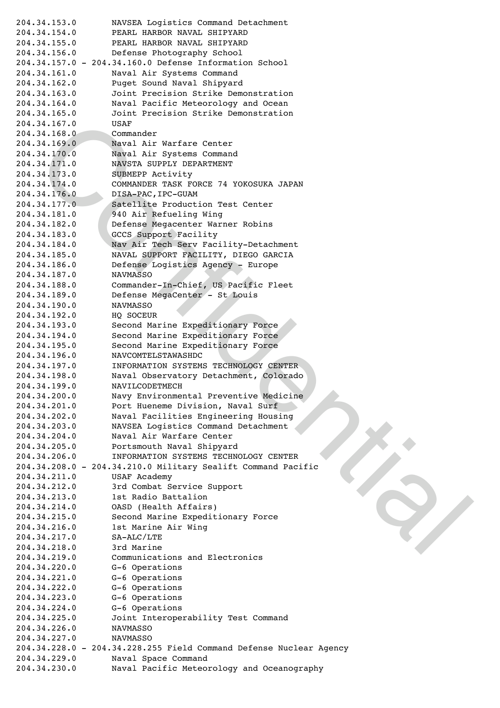34.167.0<br>
2010: USA: USA: USA: The Variance Content<br>
24.168.0<br>
24.169.0<br>
24.179.0<br>
24.279.0<br>
24.279.0<br>
24.279.0<br>
24.279.0<br>
24.279.0<br>
24.279.0<br>
24.279.0<br>
24.279.0<br>
24.279.0<br>
24.279.0<br>
24.279.0<br>
24.279.0<br>
24.279.0<br>
24.279.0<br> 204.34.153.0 NAVSEA Logistics Command Detachment 204.34.154.0 PEARL HARBOR NAVAL SHIPYARD 204.34.155.0 PEARL HARBOR NAVAL SHIPYARD 204.34.156.0 Defense Photography School 204.34.157.0 - 204.34.160.0 Defense Information School 204.34.161.0 Naval Air Systems Command 204.34.162.0 Puget Sound Naval Shipyard 204.34.163.0 Joint Precision Strike Demonstration 204.34.164.0 Naval Pacific Meteorology and Ocean 204.34.165.0 Joint Precision Strike Demonstration 204.34.167.0 USAF 204.34.168.0 Commander 204.34.169.0 Naval Air Warfare Center 204.34.170.0 Naval Air Systems Command 204.34.171.0 NAVSTA SUPPLY DEPARTMENT 204.34.173.0 SUBMEPP Activity 204.34.174.0 COMMANDER TASK FORCE 74 YOKOSUKA JAPAN 204.34.176.0 DISA-PAC,IPC-GUAM 204.34.177.0 Satellite Production Test Center 204.34.181.0 940 Air Refueling Wing 204.34.182.0 Defense Megacenter Warner Robins 204.34.183.0 GCCS Support Facility 204.34.184.0 Nav Air Tech Serv Facility-Detachment 204.34.185.0 NAVAL SUPPORT FACILITY, DIEGO GARCIA 204.34.186.0 Defense Logistics Agency - Europe 204.34.187.0 NAVMASSO 204.34.188.0 Commander-In-Chief, US Pacific Fleet 204.34.189.0 Defense MegaCenter - St Louis 204.34.190.0 NAVMASSO 204.34.192.0 HQ SOCEUR 204.34.193.0 Second Marine Expeditionary Force 204.34.194.0 Second Marine Expeditionary Force 204.34.195.0 Second Marine Expeditionary Force 204.34.196.0 NAVCOMTELSTAWASHDC 204.34.197.0 INFORMATION SYSTEMS TECHNOLOGY CENTER 204.34.198.0 Naval Observatory Detachment, Colorado 204.34.199.0 NAVILCODETMECH 204.34.200.0 Navy Environmental Preventive Medicine 204.34.201.0 Port Hueneme Division, Naval Surf 204.34.202.0 Naval Facilities Engineering Housing 204.34.203.0 NAVSEA Logistics Command Detachment 204.34.204.0 Naval Air Warfare Center 204.34.205.0 Portsmouth Naval Shipyard 204.34.206.0 INFORMATION SYSTEMS TECHNOLOGY CENTER 204.34.208.0 - 204.34.210.0 Military Sealift Command Pacific 204.34.211.0 USAF Academy 204.34.212.0 3rd Combat Service Support 204.34.213.0 1st Radio Battalion 204.34.214.0 OASD (Health Affairs) 204.34.215.0 Second Marine Expeditionary Force 204.34.216.0 1st Marine Air Wing 204.34.217.0 SA-ALC/LTE 204.34.218.0 3rd Marine 204.34.219.0 Communications and Electronics 204.34.220.0 G-6 Operations 204.34.221.0 G-6 Operations 204.34.222.0 G-6 Operations 204.34.223.0 G-6 Operations 204.34.224.0 G-6 Operations 204.34.225.0 Joint Interoperability Test Command 204.34.226.0 NAVMASSO 204.34.227.0 NAVMASSO 204.34.228.0 - 204.34.228.255 Field Command Defense Nuclear Agency 204.34.229.0 Naval Space Command 204.34.230.0 Naval Pacific Meteorology and Oceanography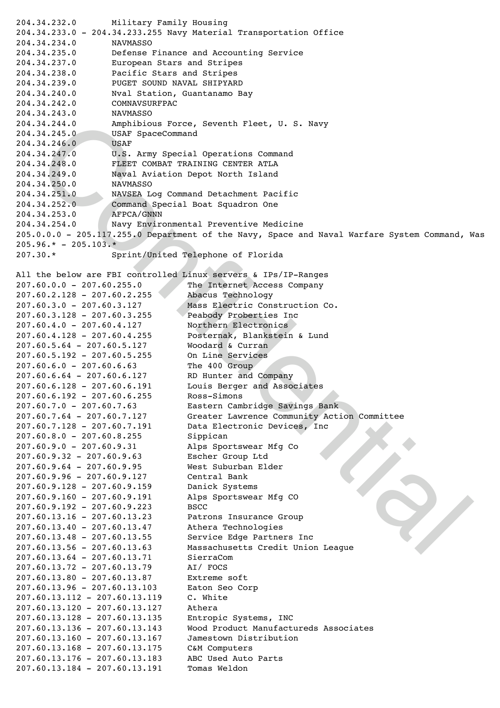```
34.244.0 Amphibitous Porce , Seventh Pleet, O. S. Navy<br>14.245.0 MeAr SpeecCommand<br>14.245.0 USAr Speechial Operations command<br>14.247.0 USAr New Special Operations command<br>14.247.0 USAr New Yorkstan People USTA Islam<br>14.251
204.34.232.0 Military Family Housing
204.34.233.0 - 204.34.233.255 Navy Material Transportation Office
204.34.234.0 NAVMASSO
204.34.235.0 Defense Finance and Accounting Service
204.34.237.0 European Stars and Stripes
204.34.238.0 Pacific Stars and Stripes
204.34.239.0 PUGET SOUND NAVAL SHIPYARD
204.34.240.0 Nval Station, Guantanamo Bay
204.34.242.0 COMNAVSURFPAC
204.34.243.0 NAVMASSO
204.34.244.0 Amphibious Force, Seventh Fleet, U. S. Navy
204.34.245.0 USAF SpaceCommand
204.34.246.0 USAF
204.34.247.0 U.S. Army Special Operations Command
204.34.248.0 FLEET COMBAT TRAINING CENTER ATLA
204.34.249.0 Naval Aviation Depot North Island
204.34.250.0 NAVMASSO
204.34.251.0 NAVSEA Log Command Detachment Pacific
204.34.252.0 Command Special Boat Squadron One
204.34.253.0 AFPCA/GNNN
204.34.254.0 Navy Environmental Preventive Medicine
205.0.0.0 - 205.117.255.0 Department of the Navy, Space and Naval Warfare System Command, Was
205.96.* - 205.103.*207.30.* Sprint/United Telephone of Florida
All the below are FBI controlled Linux servers & IPs/IP-Ranges
207.60.0.0 - 207.60.255.0 ! ! ! ! The Internet Access Company
207.60.2.128 - 207.60.2.255 ! ! ! Abacus Technology
207.60.3.0 - 207.60.3.127 ! ! ! ! Mass Electric Construction Co.
207.60.3.128 - 207.60.3.255 ! ! ! Peabody Proberties Inc
207.60.4.0 - 207.60.4.127 ! ! ! ! Northern Electronics
207.60.4.128 - 207.60.4.255 ! ! ! Posternak, Blankstein & Lund
207.60.5.64 - 207.60.5.127 ! ! ! !Woodard & Curran
207.60.5.192 - 207.60.5.255 ! ! ! On Line Services
207.60.6.0 - 207.60.6.63 ! ! ! ! The 400 Group
207.60.6.64 - 207.60.6.127 ! ! ! !RD Hunter and Company
207.60.6.128 - 207.60.6.191 ! ! ! Louis Berger and Associates
207.60.6.192 - 207.60.6.255 ! ! ! Ross-Simons
207.60.7.0 - 207.60.7.63 ! ! ! ! Eastern Cambridge Savings Bank
207.60.7.64 - 207.60.7.127 ! ! ! !Greater Lawrence Community Action Committee
207.60.7.128 - 207.60.7.191 ! ! ! Data Electronic Devices, Inc
207.60.8.0 - 207.60.8.255 ! ! ! ! Sippican
207.60.9.0 - 207.60.9.31 ! ! ! ! Alps Sportswear Mfg Co
207.60.9.32 - 207.60.9.63 ! ! ! ! Escher Group Ltd
207.60.9.64 - 207.60.9.95 ! ! ! ! West Suburban Elder
207.60.9.96 - 207.60.9.127 ! ! ! !Central Bank
207.60.9.128 - 207.60.9.159 ! ! ! Danick Systems
207.60.9.160 - 207.60.9.191 ! ! ! Alps Sportswear Mfg CO
207.60.9.192 - 207.60.9.223 ! ! ! BSCC
207.60.13.16 - 207.60.13.23 ! ! ! Patrons Insurance Group
207.60.13.40 - 207.60.13.47 ! ! ! Athera Technologies
207.60.13.48 - 207.60.13.55 ! ! ! Service Edge Partners Inc
207.60.13.56 - 207.60.13.63 ! ! ! Massachusetts Credit Union League
207.60.13.64 - 207.60.13.71 ! ! ! SierraCom
207.60.13.72 - 207.60.13.79 ! ! ! AI/ FOCS
207.60.13.80 - 207.60.13.87 ! ! ! Extreme soft
207.60.13.96 - 207.60.13.103 Eaton Seo Corp
207.60.13.112 - 207.60.13.119 C. White
207.60.13.120 - 207.60.13.127 Athera
207.60.13.128 - 207.60.13.135 Entropic Systems, INC
207.60.13.136 - 207.60.13.143 Wood Product Manufactureds Associates
207.60.13.160 - 207.60.13.167 Jamestown Distribution
207.60.13.168 - 207.60.13.175 C&M Computers
207.60.13.176 - 207.60.13.183 ABC Used Auto Parts
207.60.13.184 - 207.60.13.191 Tomas Weldon
```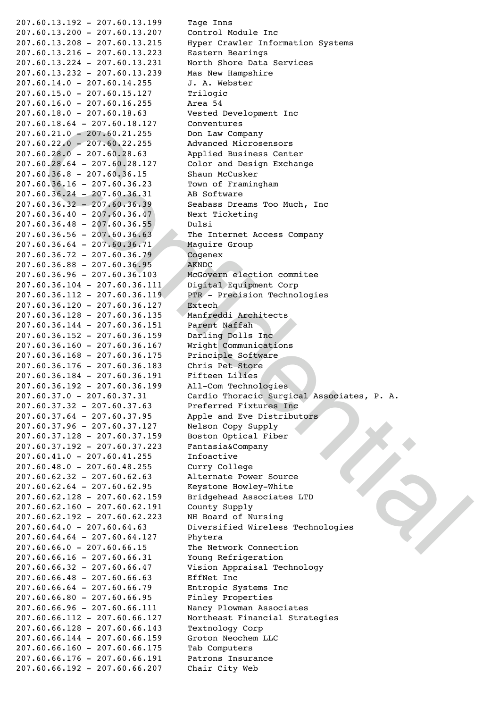60.18, 44 = 207, 60.18-127<br>
60.21, 0 = 207, 60.21, 227 = 00.18 = 148 Company<br>
60.22, 0 = 207, 60.21, 255 ! | 1 Abuvential Microsomores<br>
60.26, 0 = 207, 60.28, 0 = 207, 60.36. 1<br>
60.36. 4 = 207, 60.36. 1<br>
60.36. 4 = 207, 6 207.60.13.192 - 207.60.13.199 Tage Inns 207.60.13.200 - 207.60.13.207 Control Module Inc Hyper Crawler Information Systems 207.60.13.216 - 207.60.13.223 Eastern Bearings 207.60.13.224 - 207.60.13.231 North Shore Data Services 207.60.13.232 - 207.60.13.239 Mas New Hampshire 207.60.14.0 - 207.60.14.255 ! ! ! J. A. Webster 207.60.15.0 - 207.60.15.127 ! ! ! Trilogic 207.60.16.0 - 207.60.16.255 ! ! ! Area 54 207.60.18.0 - 207.60.18.63 ! ! ! !Vested Development Inc 207.60.18.64 - 207.60.18.127 Conventures 207.60.21.0 - 207.60.21.255 ! ! ! Don Law Company 207.60.22.0 - 207.60.22.255 ! ! ! Advanced Microsensors 207.60.28.0 - 207.60.28.63 ! ! ! !Applied Business Center 207.60.28.64 - 207.60.28.127 Color and Design Exchange 207.60.36.8 - 207.60.36.15 ! ! ! !Shaun McCusker 207.60.36.16 - 207.60.36.23 ! ! ! Town of Framingham 207.60.36.24 - 207.60.36.31 ! ! ! AB Software 207.60.36.32 - 207.60.36.39 ! ! ! Seabass Dreams Too Much, Inc 207.60.36.40 - 207.60.36.47 ! ! ! Next Ticketing 207.60.36.48 - 207.60.36.55 ! ! ! Dulsi 207.60.36.56 - 207.60.36.63 ! ! ! The Internet Access Company 207.60.36.64 - 207.60.36.71 ! ! ! Maguire Group 207.60.36.72 - 207.60.36.79 ! ! ! Cogenex 207.60.36.88 - 207.60.36.95 ! ! ! AKNDC 207.60.36.96 - 207.60.36.103 McGovern election commitee 207.60.36.104 - 207.60.36.111 Digital Equipment Corp 207.60.36.112 - 207.60.36.119 PTR - Precision Technologies 207.60.36.120 - 207.60.36.127 Extech 207.60.36.128 - 207.60.36.135 Manfreddi Architects 207.60.36.144 - 207.60.36.151 Parent Naffah 207.60.36.152 - 207.60.36.159 Darling Dolls Inc 207.60.36.160 - 207.60.36.167 Wright Communications 207.60.36.168 - 207.60.36.175 Principle Software 207.60.36.176 - 207.60.36.183 Chris Pet Store 207.60.36.184 - 207.60.36.191 Fifteen Lilies 207.60.36.192 - 207.60.36.199 All-Com Technologies 207.60.37.0 - 207.60.37.31 ! ! ! !Cardio Thoracic Surgical Associates, P. A. 207.60.37.32 - 207.60.37.63 ! ! ! Preferred Fixtures Inc 207.60.37.64 - 207.60.37.95 ! ! ! Apple and Eve Distributors 207.60.37.96 - 207.60.37.127 Nelson Copy Supply 207.60.37.128 - 207.60.37.159 Boston Optical Fiber 207.60.37.192 - 207.60.37.223 Fantasia&Company 207.60.41.0 - 207.60.41.255 ! ! ! Infoactive 207.60.48.0 - 207.60.48.255 ! ! ! Curry College 207.60.62.32 - 207.60.62.63 ! ! ! Alternate Power Source 207.60.62.64 - 207.60.62.95 ! ! ! Keystone Howley-White 207.60.62.128 - 207.60.62.159 Bridgehead Associates LTD 207.60.62.160 - 207.60.62.191 County Supply 207.60.62.192 - 207.60.62.223 NH Board of Nursing 207.60.64.0 - 207.60.64.63 ! ! ! !Diversified Wireless Technologies 207.60.64.64 - 207.60.64.127 Phytera 207.60.66.0 - 207.60.66.15 ! ! ! !The Network Connection 207.60.66.16 - 207.60.66.31 ! ! ! Young Refrigeration 207.60.66.32 - 207.60.66.47 ! ! ! Vision Appraisal Technology 207.60.66.48 - 207.60.66.63 ! ! ! EffNet Inc 207.60.66.64 - 207.60.66.79 ! ! ! Entropic Systems Inc 207.60.66.80 - 207.60.66.95 ! ! ! Finley Properties 207.60.66.96 - 207.60.66.111 Nancy Plowman Associates 207.60.66.112 - 207.60.66.127 Northeast Financial Strategies 207.60.66.128 - 207.60.66.143 Textnology Corp 207.60.66.144 - 207.60.66.159 Groton Neochem LLC 207.60.66.160 - 207.60.66.175 Tab Computers 207.60.66.176 - 207.60.66.191 Patrons Insurance 207.60.66.192 - 207.60.66.207 Chair City Web